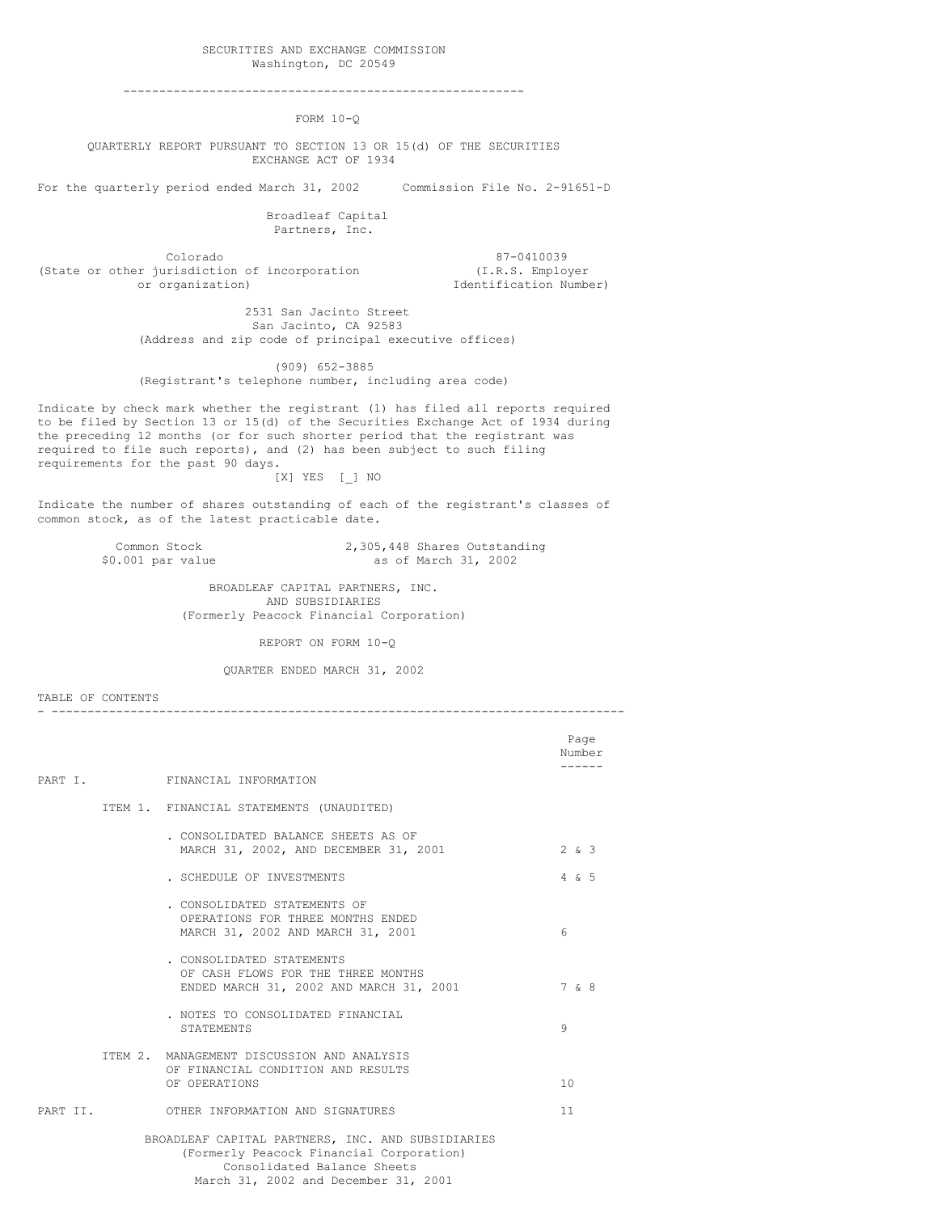#### SECURITIES AND EXCHANGE COMMISSION Washington, DC 20549

--------------------------------------------------------

 $FORM 10-0$ 

QUARTERLY REPORT PURSUANT TO SECTION 13 OR 15(d) OF THE SECURITIES EXCHANGE ACT OF 1934

For the quarterly period ended March 31, 2002 Commission File No. 2-91651-D

Broadleaf Capital Partners, Inc.

Colorado 87-0410039<br>
urisdiction of incorporation (I.R.S. Employer (State or other jurisdiction of incorporation or organization)

Identification Number)

2531 San Jacinto Street San Jacinto, CA 92583 (Address and zip code of principal executive offices)

(909) 652-3885 (Registrant's telephone number, including area code)

Indicate by check mark whether the registrant (1) has filed all reports required to be filed by Section 13 or 15(d) of the Securities Exchange Act of 1934 during the preceding 12 months (or for such shorter period that the registrant was required to file such reports), and (2) has been subject to such filing requirements for the past 90 days.

[X] YES [\_] NO

Indicate the number of shares outstanding of each of the registrant's classes of common stock, as of the latest practicable date.

> Common Stock 2,305,448 Shares Outstanding<br>
> \$0.001 par value 30.002 as of March 31, 2002 as of March 31, 2002

> > BROADLEAF CAPITAL PARTNERS, INC. AND SUBSIDIARIES (Formerly Peacock Financial Corporation)

> > > REPORT ON FORM 10-Q

QUARTER ENDED MARCH 31, 2002

- --------------------------------------------------------------------------------

TABLE OF CONTENTS

Page Number ------ PART I. FINANCIAL INFORMATION ITEM 1. FINANCIAL STATEMENTS (UNAUDITED) . CONSOLIDATED BALANCE SHEETS AS OF MARCH 31, 2002, AND DECEMBER 31, 2001 2 & 3 . SCHEDULE OF INVESTMENTS 4 & 5 . CONSOLIDATED STATEMENTS OF OPERATIONS FOR THREE MONTHS ENDED MARCH 31, 2002 AND MARCH 31, 2001 6 . CONSOLIDATED STATEMENTS OF CASH FLOWS FOR THE THREE MONTHS ENDED MARCH 31, 2002 AND MARCH 31, 2001 7 & 8 . NOTES TO CONSOLIDATED FINANCIAL STATEMENTS 9 ITEM 2. MANAGEMENT DISCUSSION AND ANALYSIS OF FINANCIAL CONDITION AND RESULTS OF OPERATIONS 10 PART II. OTHER INFORMATION AND SIGNATURES 11 BROADLEAF CAPITAL PARTNERS, INC. AND SUBSIDIARIES (Formerly Peacock Financial Corporation) Consolidated Balance Sheets

# March 31, 2002 and December 31, 2001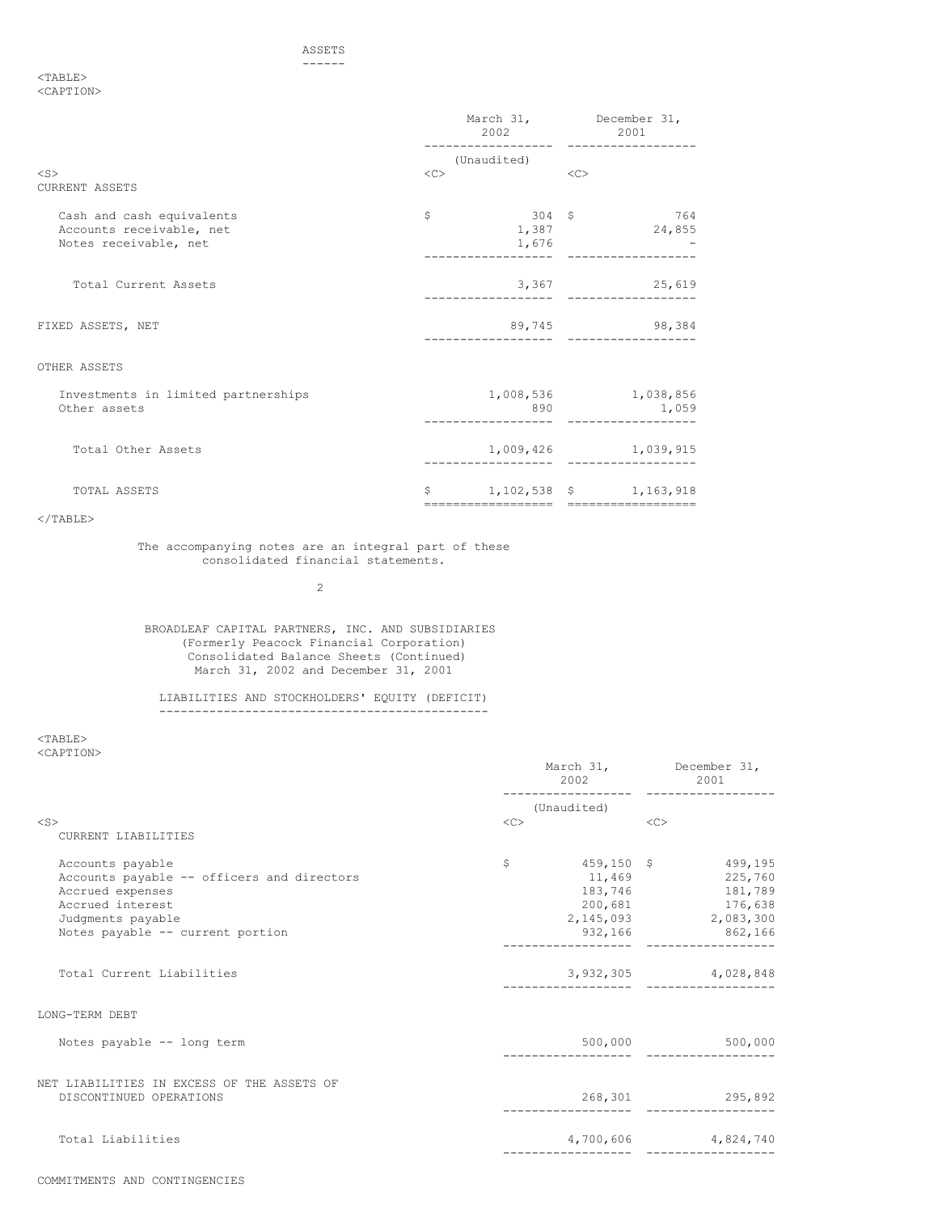#### ASSETS ------

<TABLE> <CAPTION>

|                                                                                | 2002        |                                                                     | March 31, December 31,<br>2001 |                                    |  |
|--------------------------------------------------------------------------------|-------------|---------------------------------------------------------------------|--------------------------------|------------------------------------|--|
|                                                                                | (Unaudited) |                                                                     |                                |                                    |  |
| $<$ S $>$<br><b>CURRENT ASSETS</b>                                             | <<          |                                                                     | < <sub></sub>                  |                                    |  |
| Cash and cash equivalents<br>Accounts receivable, net<br>Notes receivable, net | $\mathsf S$ | 304S<br>1,387<br>1,676                                              |                                | 764<br>24,855                      |  |
| Total Current Assets                                                           |             |                                                                     |                                | 3,367 25,619                       |  |
| FIXED ASSETS, NET                                                              |             |                                                                     |                                | 89,745 98,384                      |  |
| OTHER ASSETS                                                                   |             |                                                                     |                                |                                    |  |
| Investments in limited partnerships<br>Other assets                            |             | 890                                                                 |                                | 1,008,536 1,038,856<br>1,059       |  |
| Total Other Assets                                                             |             |                                                                     |                                | 1,009,426 1,039,915<br>----------- |  |
| TOTAL ASSETS                                                                   | \$          | 1, 102, 538 \$ 1, 163, 918<br>===================================== |                                |                                    |  |

## $<$ /TABLE>

The accompanying notes are an integral part of these consolidated financial statements.

2

BROADLEAF CAPITAL PARTNERS, INC. AND SUBSIDIARIES (Formerly Peacock Financial Corporation) Consolidated Balance Sheets (Continued) March 31, 2002 and December 31, 2001

#### LIABILITIES AND STOCKHOLDERS' EQUITY (DEFICIT) ----------------------------------------------

 $<$ TABLE $>$ <CAPTION>

|                                                                                                                                                                 |                                    | March 31, December 31,<br>2002 2001                                                                                                 |  |
|-----------------------------------------------------------------------------------------------------------------------------------------------------------------|------------------------------------|-------------------------------------------------------------------------------------------------------------------------------------|--|
|                                                                                                                                                                 | (Unaudited)                        |                                                                                                                                     |  |
| $<$ S $>$<br>CURRENT LIABILITIES                                                                                                                                | <<                                 | $<<$ C $>$                                                                                                                          |  |
| Accounts payable<br>Accounts payable -- officers and directors<br>Accrued expenses<br>Accrued interest<br>Judgments payable<br>Notes payable -- current portion | S                                  | $459, 150 \quad$ \$ 499,195<br>11,469 225,760<br>183,746 181,789<br>200,681 176,638<br>2, 145, 093 2, 083, 300<br>932, 166 862, 166 |  |
| Total Current Liabilities                                                                                                                                       |                                    | 3,932,305 4,028,848                                                                                                                 |  |
| LONG-TERM DEBT                                                                                                                                                  |                                    |                                                                                                                                     |  |
| Notes payable -- long term                                                                                                                                      | ----------------- ---------------- | 500,000 500,000                                                                                                                     |  |
| NET LIABILITIES IN EXCESS OF THE ASSETS OF<br>DISCONTINUED OPERATIONS                                                                                           |                                    | 268,301 295,892                                                                                                                     |  |
| Total Liabilities                                                                                                                                               |                                    | 4,700,606 4,824,740<br>. <u>.</u>                                                                                                   |  |
|                                                                                                                                                                 |                                    |                                                                                                                                     |  |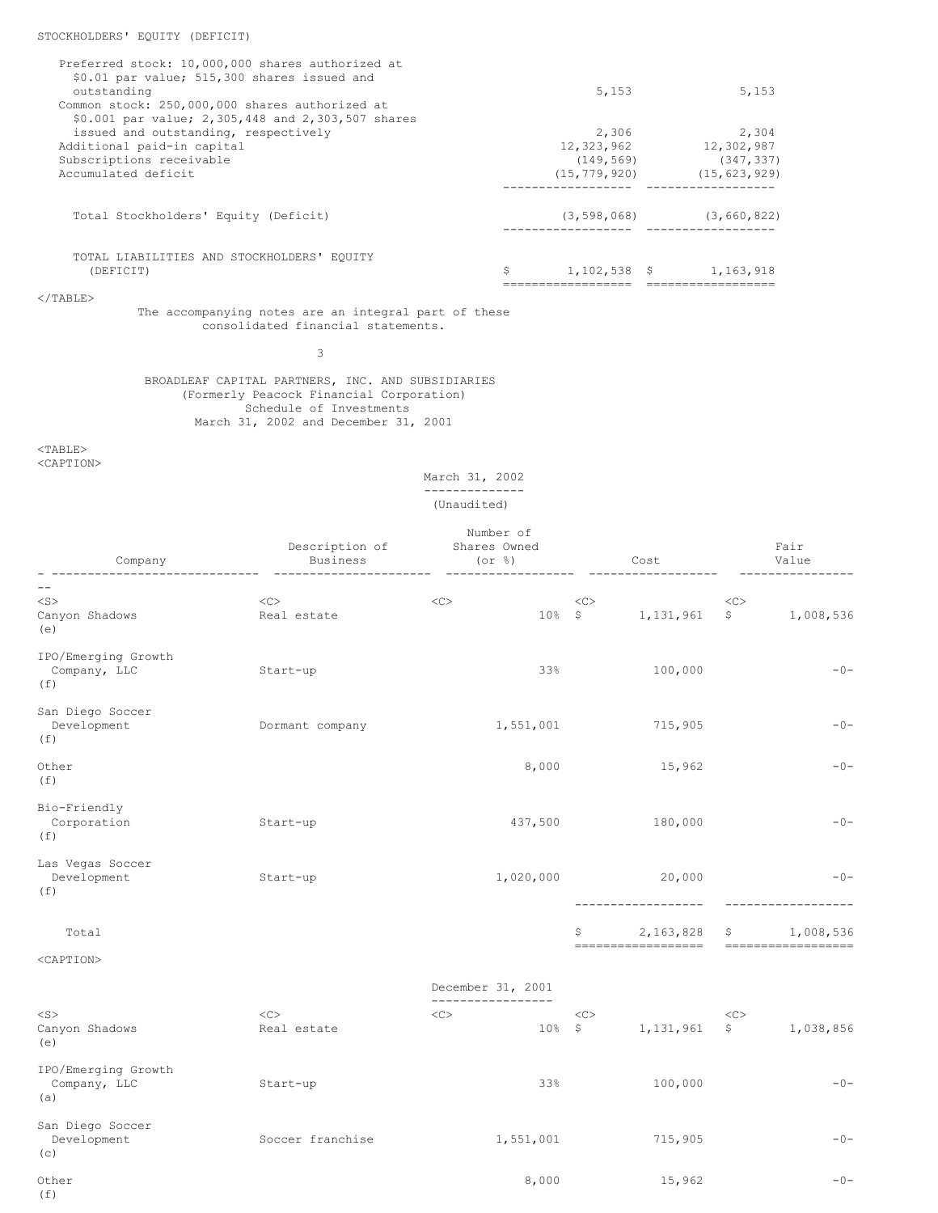| Preferred stock: 10,000,000 shares authorized at  |                   |                |
|---------------------------------------------------|-------------------|----------------|
| \$0.01 par value; 515,300 shares issued and       |                   |                |
| outstanding                                       | 5,153             | 5,153          |
| Common stock: 250,000,000 shares authorized at    |                   |                |
| \$0.001 par value; 2,305,448 and 2,303,507 shares |                   |                |
| issued and outstanding, respectively              | 2,306             | 2,304          |
| Additional paid-in capital                        | 12,323,962        | 12,302,987     |
| Subscriptions receivable                          | (149, 569)        | (347, 337)     |
| Accumulated deficit                               | (15, 779, 920)    | (15, 623, 929) |
|                                                   |                   |                |
| Total Stockholders' Equity (Deficit)              | (3, 598, 068)     | (3, 660, 822)  |
|                                                   |                   |                |
| TOTAL LIABILITIES AND STOCKHOLDERS' EOUITY        |                   |                |
| (DEFICIT)                                         | \$<br>1.102.538 S | 1,163,918      |
|                                                   |                   |                |

 $<$ /TABLE>

The accompanying notes are an integral part of these consolidated financial statements.

3

BROADLEAF CAPITAL PARTNERS, INC. AND SUBSIDIARIES (Formerly Peacock Financial Corporation) Schedule of Investments March 31, 2002 and December 31, 2001

<TABLE>

<CAPTION>

## March 31, 2002 -------------- (Unaudited)

|                                            | Number of        |                                 |                 |                                  |               |                                  |  |
|--------------------------------------------|------------------|---------------------------------|-----------------|----------------------------------|---------------|----------------------------------|--|
|                                            | Description of   | Shares Owned                    |                 |                                  |               | Fair                             |  |
| Company                                    | Business         | $($ or $\frac{6}{6}$ $)$        |                 | Cost                             |               | Value                            |  |
|                                            |                  |                                 |                 |                                  |               |                                  |  |
| $<$ S>                                     | <<               | <<                              | <<              |                                  | <<            |                                  |  |
| Canyon Shadows<br>(e)                      | Real estate      |                                 | $10%$ \$        | 1,131,961                        | $\mathcal{S}$ | 1,008,536                        |  |
| IPO/Emerging Growth<br>Company, LLC<br>(f) | Start-up         |                                 | 33%             | 100,000                          |               | $-0-$                            |  |
| San Diego Soccer<br>Development<br>(f)     | Dormant company  | 1,551,001                       |                 | 715,905                          |               | $-0-$                            |  |
| Other<br>(f)                               |                  | 8,000                           |                 | 15,962                           |               | $-0-$                            |  |
| Bio-Friendly<br>Corporation<br>(f)         | Start-up         | 437,500                         |                 | 180,000                          |               | $-0-$                            |  |
| Las Vegas Soccer<br>Development<br>(f)     | Start-up         | 1,020,000                       |                 | 20,000                           |               | $-0-$                            |  |
| Total                                      |                  |                                 | \$              | 2,163,828<br>------------------- | \$            | 1,008,536<br>------------------- |  |
| <caption></caption>                        |                  |                                 |                 |                                  |               |                                  |  |
|                                            |                  | December 31, 2001               |                 |                                  |               |                                  |  |
| $<$ S $>$                                  | <<               | ------------------<br>$<\infty$ |                 |                                  |               |                                  |  |
| Canyon Shadows<br>(e)                      | Real estate      |                                 | <<><br>$10%$ \$ | 1, 131, 961                      | <<<br>S       | 1,038,856                        |  |
| IPO/Emerging Growth<br>Company, LLC<br>(a) | Start-up         |                                 | 33%             | 100,000                          |               | $-0-$                            |  |
| San Diego Soccer<br>Development<br>(c)     | Soccer franchise | 1,551,001                       |                 | 715,905                          |               | $-0-$                            |  |

Other 3,000 15,962 -0-(f)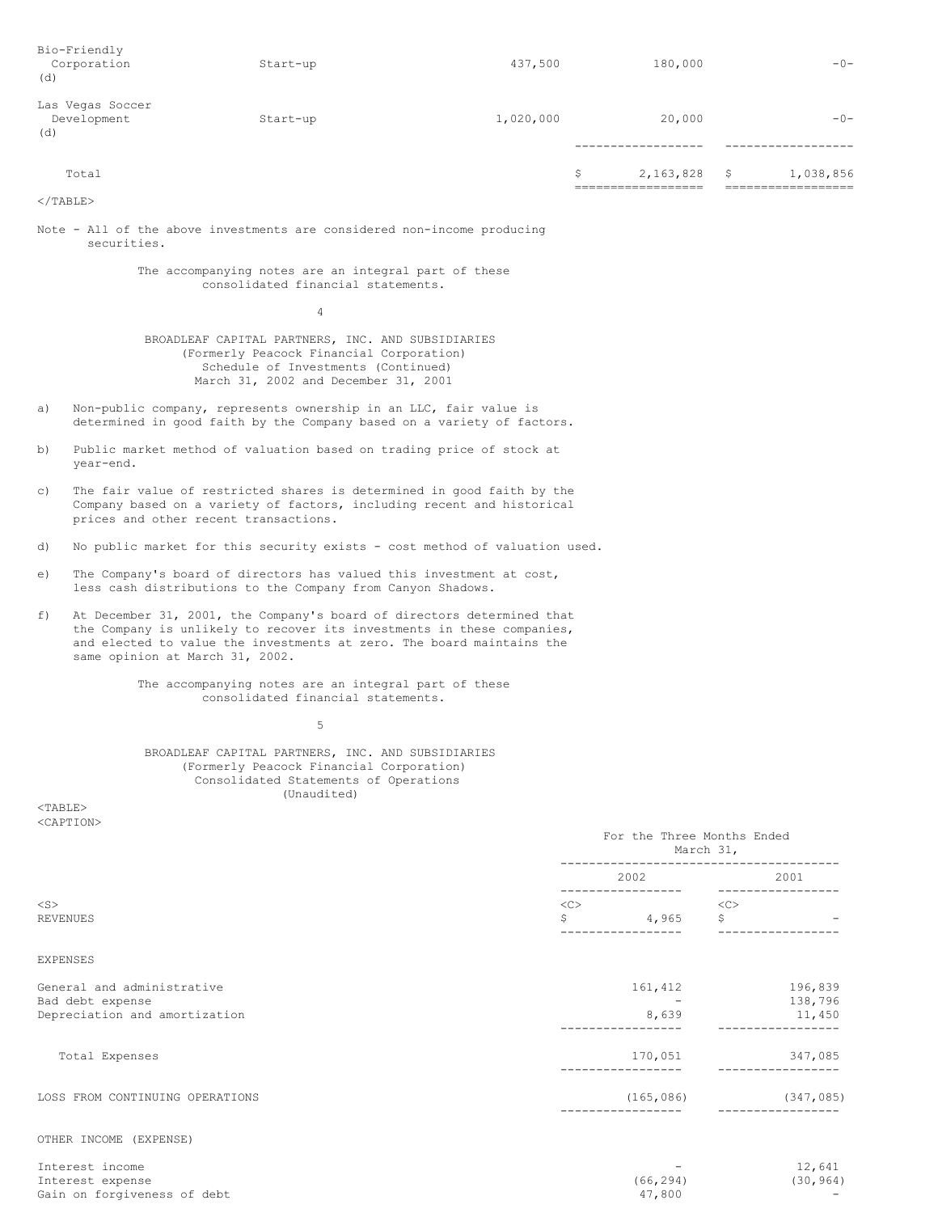| Bio-Friendly<br>Corporation<br>(d)     | Start-up | 437,500   | 180,000         |    | $-0-$     |
|----------------------------------------|----------|-----------|-----------------|----|-----------|
| Las Vegas Soccer<br>Development<br>(d) | Start-up | 1,020,000 | 20,000          |    | $-0-$     |
| Total                                  |          |           | \$<br>2,163,828 | -S | 1,038,856 |

 $<$ /TABLE>

Note - All of the above investments are considered non-income producing securities.

> The accompanying notes are an integral part of these consolidated financial statements.

> > 4

BROADLEAF CAPITAL PARTNERS, INC. AND SUBSIDIARIES (Formerly Peacock Financial Corporation) Schedule of Investments (Continued) March 31, 2002 and December 31, 2001

- a) Non-public company, represents ownership in an LLC, fair value is determined in good faith by the Company based on a variety of factors.
- b) Public market method of valuation based on trading price of stock at year-end.
- c) The fair value of restricted shares is determined in good faith by the Company based on a variety of factors, including recent and historical prices and other recent transactions.
- d) No public market for this security exists cost method of valuation used.
- e) The Company's board of directors has valued this investment at cost, less cash distributions to the Company from Canyon Shadows.
- f) At December 31, 2001, the Company's board of directors determined that the Company is unlikely to recover its investments in these companies, and elected to value the investments at zero. The board maintains the same opinion at March 31, 2002.

The accompanying notes are an integral part of these consolidated financial statements.

5

BROADLEAF CAPITAL PARTNERS, INC. AND SUBSIDIARIES (Formerly Peacock Financial Corporation) Consolidated Statements of Operations (Unaudited)

<TABLE> <CAPTION>

|                                                                                 | For the Three Months Ended<br>March 31, |                               |  |  |  |
|---------------------------------------------------------------------------------|-----------------------------------------|-------------------------------|--|--|--|
|                                                                                 | 2002<br>---------------                 | 2001<br>-------------         |  |  |  |
| $<$ S $>$<br>REVENUES                                                           | <<<br>\$<br>4,965                       | <<<br>\$<br>$\qquad \qquad -$ |  |  |  |
| <b>EXPENSES</b>                                                                 |                                         |                               |  |  |  |
| General and administrative<br>Bad debt expense<br>Depreciation and amortization | 161,412<br>8,639                        | 196,839<br>138,796<br>11,450  |  |  |  |
| Total Expenses                                                                  | 170,051                                 | 347,085                       |  |  |  |
| LOSS FROM CONTINUING OPERATIONS                                                 | (165, 086)                              | (347, 085)                    |  |  |  |
| OTHER INCOME (EXPENSE)                                                          |                                         |                               |  |  |  |

| Interest income             | -         | 12,641    |
|-----------------------------|-----------|-----------|
| Interest expense            | (66, 294) | (30, 964) |
| Gain on forgiveness of debt | 47.800    | $\sim$    |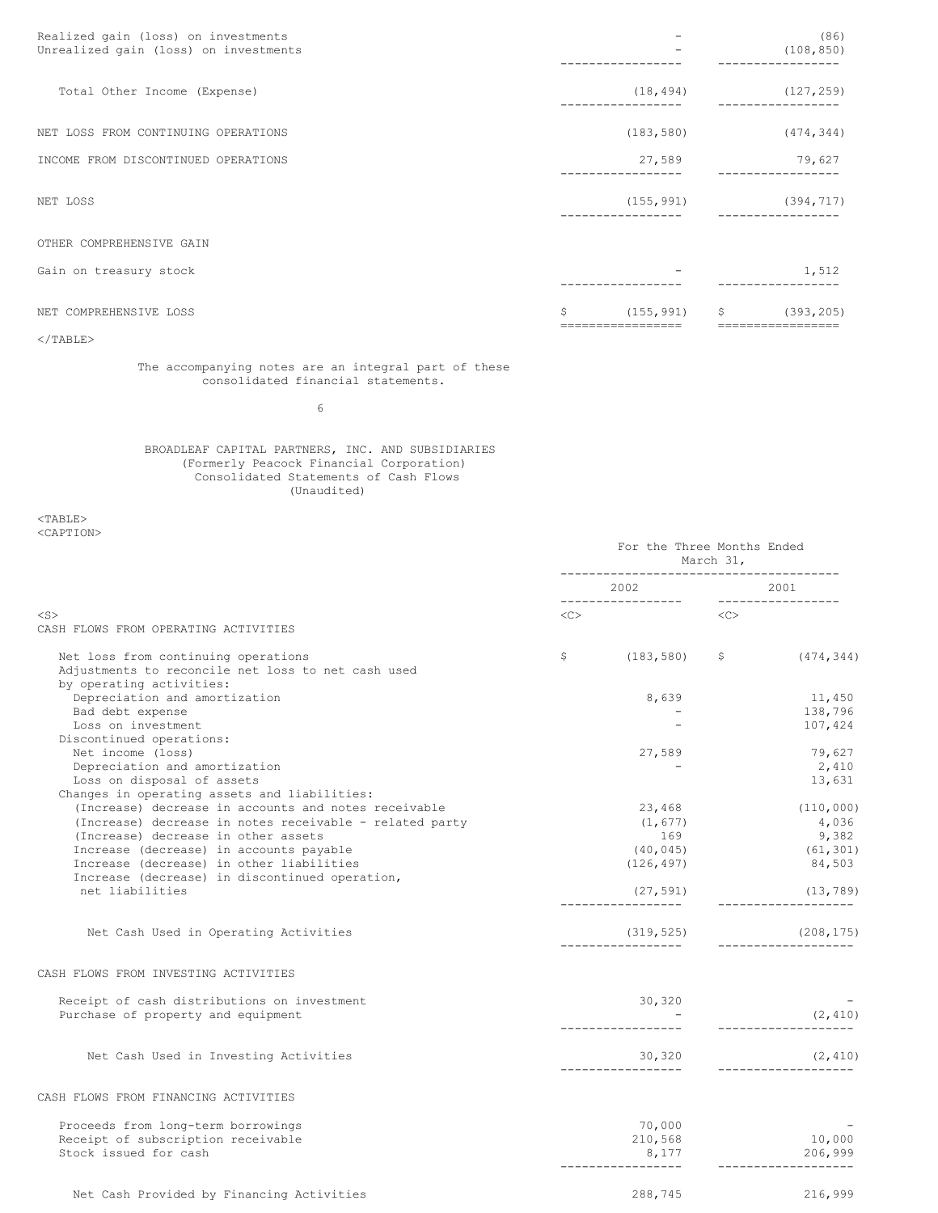| Realized gain (loss) on investments<br>Unrealized gain (loss) on investments |                            | (86)<br>(108, 850)                        |
|------------------------------------------------------------------------------|----------------------------|-------------------------------------------|
| Total Other Income (Expense)                                                 | (18, 494)                  | (127, 259)<br>-------------               |
| NET LOSS FROM CONTINUING OPERATIONS                                          | (183, 580)                 | (474, 344)                                |
| INCOME FROM DISCONTINUED OPERATIONS                                          | 27,589                     | 79,627<br>----------                      |
| NET LOSS                                                                     | (155, 991)<br>------------ | (394, 717)<br>. _ _ _ _ _ _ _ _ _ _ _ _ _ |
| OTHER COMPREHENSIVE GAIN                                                     |                            |                                           |
| Gain on treasury stock                                                       |                            | 1,512                                     |
| NET COMPREHENSIVE LOSS                                                       | \$<br>(155, 991)           | \$<br>(393, 205)                          |
| $<$ /TABLE>                                                                  | =============              | -------------                             |

The accompanying notes are an integral part of these consolidated financial statements.

6

## BROADLEAF CAPITAL PARTNERS, INC. AND SUBSIDIARIES (Formerly Peacock Financial Corporation) Consolidated Statements of Cash Flows (Unaudited)

<TABLE> <CAPTION>

|                                                         | For the Three Months Ended<br>March 31, |                              |  |                                   |
|---------------------------------------------------------|-----------------------------------------|------------------------------|--|-----------------------------------|
|                                                         |                                         |                              |  |                                   |
| $<$ S $>$                                               | $\langle C \rangle$                     |                              |  |                                   |
| CASH FLOWS FROM OPERATING ACTIVITIES                    |                                         |                              |  |                                   |
| Net loss from continuing operations                     | $\mathsf{S}$                            | $(183, 580)$ \$ $(474, 344)$ |  |                                   |
| Adjustments to reconcile net loss to net cash used      |                                         |                              |  |                                   |
| by operating activities:                                |                                         |                              |  |                                   |
| Depreciation and amortization                           |                                         | 8,639                        |  | 11,450                            |
| Bad debt expense                                        |                                         |                              |  | 138,796                           |
| Loss on investment                                      |                                         |                              |  | 107,424                           |
| Discontinued operations:                                |                                         |                              |  |                                   |
| Net income (loss)                                       |                                         | 27,589                       |  | 79,627                            |
| Depreciation and amortization                           |                                         |                              |  | 2,410                             |
| Loss on disposal of assets                              |                                         |                              |  | 13,631                            |
| Changes in operating assets and liabilities:            |                                         |                              |  |                                   |
| (Increase) decrease in accounts and notes receivable    |                                         | 23,468                       |  | (110, 000)                        |
| (Increase) decrease in notes receivable - related party |                                         | (1, 677)                     |  | 4,036                             |
| (Increase) decrease in other assets                     |                                         | 169                          |  | 9,382                             |
| Increase (decrease) in accounts payable                 |                                         | (40, 045)                    |  | (61, 301)                         |
| Increase (decrease) in other liabilities                |                                         | (126, 497)                   |  | 84,503                            |
| Increase (decrease) in discontinued operation,          |                                         |                              |  |                                   |
| net liabilities                                         |                                         | (27, 591)                    |  | (13, 789)                         |
|                                                         |                                         |                              |  | ___________________               |
| Net Cash Used in Operating Activities                   |                                         | (319, 525)                   |  | (208, 175)<br>------------------- |
| CASH FLOWS FROM INVESTING ACTIVITIES                    |                                         |                              |  |                                   |
| Receipt of cash distributions on investment             |                                         | 30,320                       |  |                                   |
| Purchase of property and equipment                      |                                         |                              |  | (2, 410)                          |
|                                                         |                                         |                              |  | ________________                  |
| Net Cash Used in Investing Activities                   |                                         | 30,320                       |  | (2, 410)                          |
|                                                         |                                         |                              |  |                                   |
| CASH FLOWS FROM FINANCING ACTIVITIES                    |                                         |                              |  |                                   |
| Proceeds from long-term borrowings                      |                                         | 70,000                       |  |                                   |
| Receipt of subscription receivable                      |                                         | 210,568                      |  | 10,000                            |
| Stock issued for cash                                   |                                         | 8,177<br>------------------  |  | 206,999<br>---------------        |
|                                                         |                                         |                              |  |                                   |
| Net Cash Provided by Financing Activities               |                                         | 288,745                      |  | 216,999                           |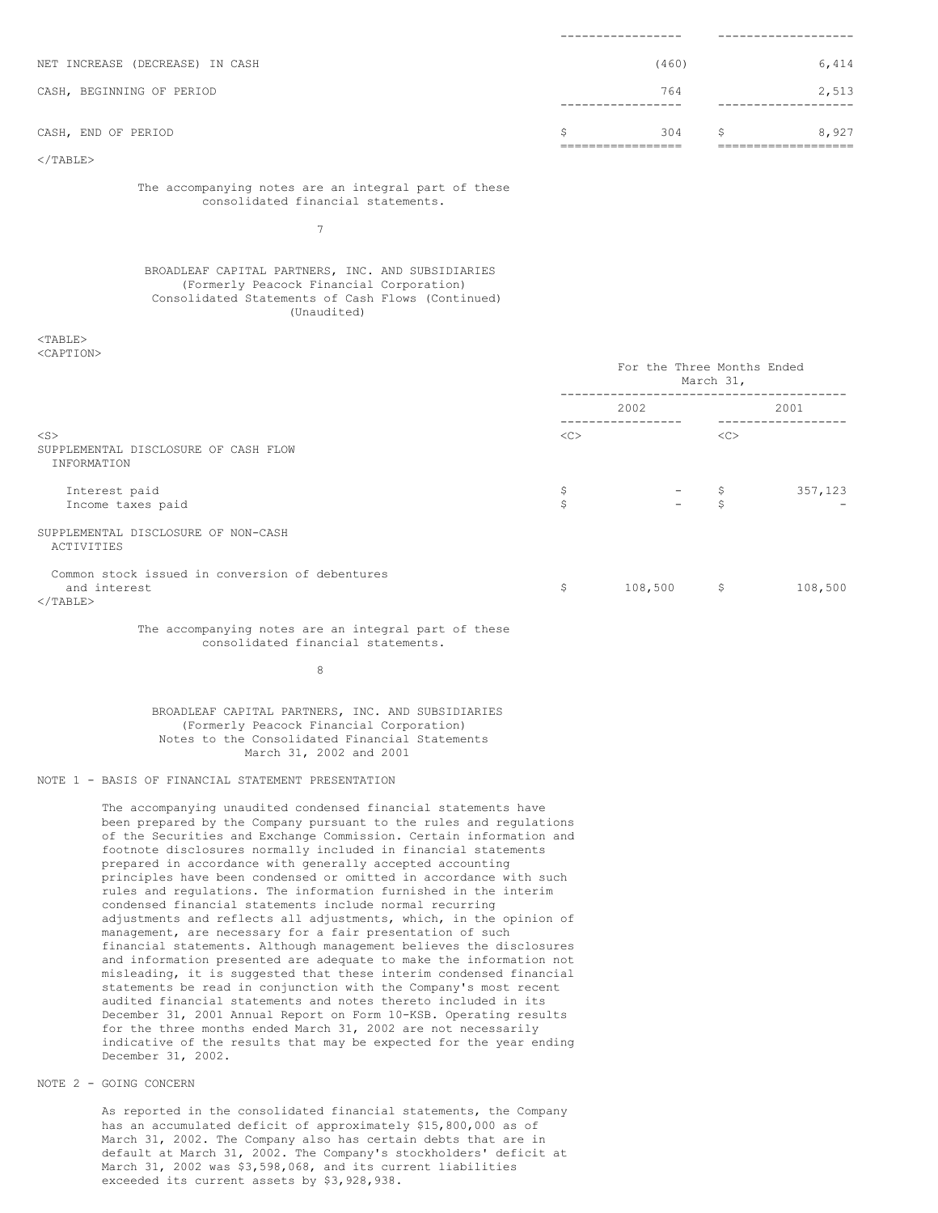| NET INCREASE (DECREASE) IN CASH |               | (460) |   | 6,414 |
|---------------------------------|---------------|-------|---|-------|
| CASH, BEGINNING OF PERIOD       |               | 764   |   | 2,513 |
| CASH, END OF PERIOD             | S             | 304   | S | 8,927 |
| $\langle$ /TABLE>               | _____________ |       |   |       |

The accompanying notes are an integral part of these consolidated financial statements.

7

### BROADLEAF CAPITAL PARTNERS, INC. AND SUBSIDIARIES (Formerly Peacock Financial Corporation) Consolidated Statements of Cash Flows (Continued) (Unaudited)

<TABLE> <CAPTION>

|                                                                                      |          | For the Three Months Ended<br>March 31, |             |         |  |
|--------------------------------------------------------------------------------------|----------|-----------------------------------------|-------------|---------|--|
|                                                                                      |          | 2002                                    |             | 2001    |  |
| $<$ S $>$<br>SUPPLEMENTAL DISCLOSURE OF CASH FLOW<br>INFORMATION                     | <<       |                                         | <<          |         |  |
| Interest paid<br>Income taxes paid                                                   | \$<br>\$ | $ \sqrt{ }$                             | Ŝ           | 357,123 |  |
| SUPPLEMENTAL DISCLOSURE OF NON-CASH<br>ACTIVITIES                                    |          |                                         |             |         |  |
| Common stock issued in conversion of debentures<br>and interest<br>$\langle$ /TABLE> | \$       | 108,500                                 | $\varsigma$ | 108,500 |  |

The accompanying notes are an integral part of these consolidated financial statements.

8

BROADLEAF CAPITAL PARTNERS, INC. AND SUBSIDIARIES (Formerly Peacock Financial Corporation) Notes to the Consolidated Financial Statements March 31, 2002 and 2001

# NOTE 1 - BASIS OF FINANCIAL STATEMENT PRESENTATION

The accompanying unaudited condensed financial statements have been prepared by the Company pursuant to the rules and regulations of the Securities and Exchange Commission. Certain information and footnote disclosures normally included in financial statements prepared in accordance with generally accepted accounting principles have been condensed or omitted in accordance with such rules and regulations. The information furnished in the interim condensed financial statements include normal recurring adjustments and reflects all adjustments, which, in the opinion of management, are necessary for a fair presentation of such financial statements. Although management believes the disclosures and information presented are adequate to make the information not misleading, it is suggested that these interim condensed financial statements be read in conjunction with the Company's most recent audited financial statements and notes thereto included in its December 31, 2001 Annual Report on Form 10-KSB. Operating results for the three months ended March 31, 2002 are not necessarily indicative of the results that may be expected for the year ending December 31, 2002.

# NOTE 2 - GOING CONCERN

As reported in the consolidated financial statements, the Company has an accumulated deficit of approximately \$15,800,000 as of March 31, 2002. The Company also has certain debts that are in default at March 31, 2002. The Company's stockholders' deficit at March 31, 2002 was \$3,598,068, and its current liabilities exceeded its current assets by \$3,928,938.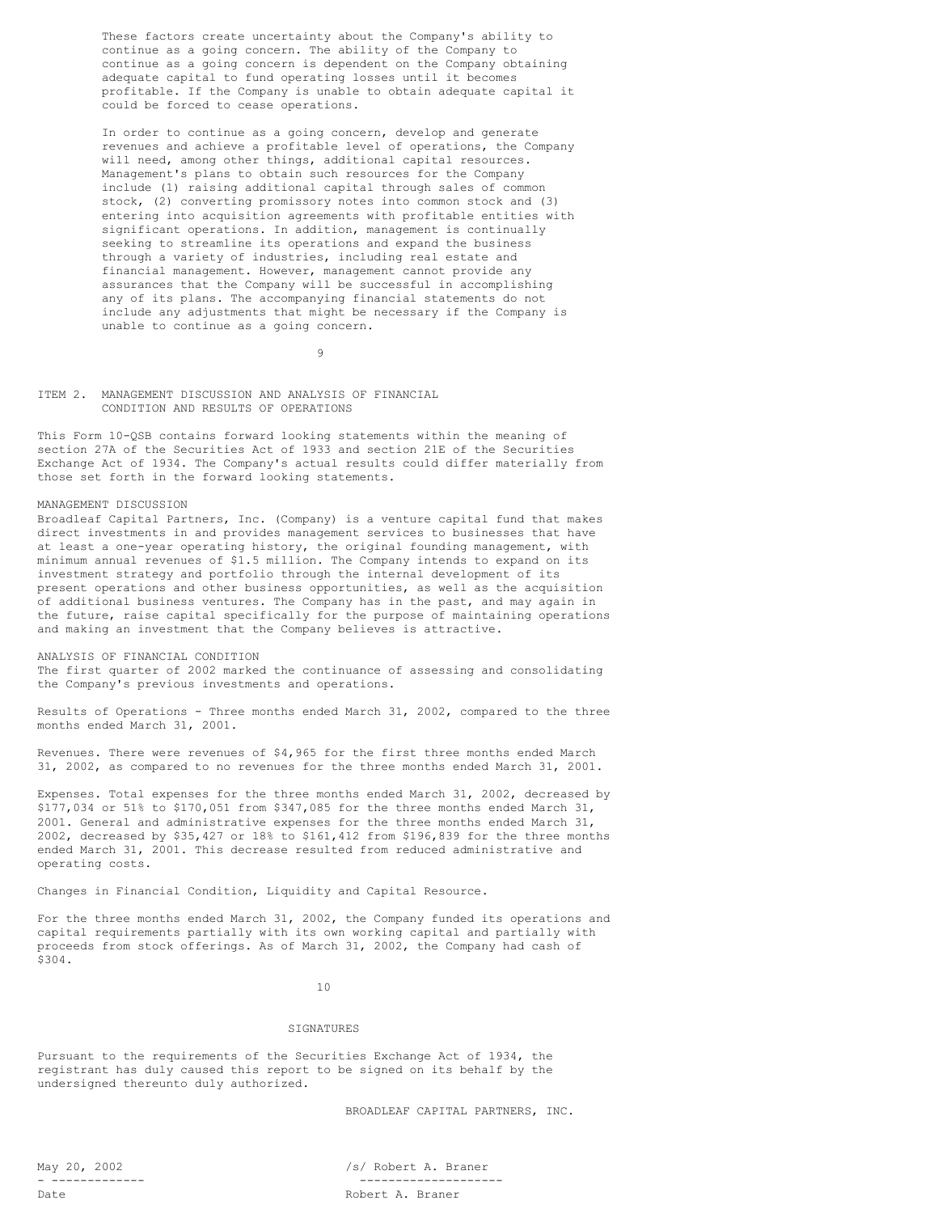These factors create uncertainty about the Company's ability to continue as a going concern. The ability of the Company to continue as a going concern is dependent on the Company obtaining adequate capital to fund operating losses until it becomes profitable. If the Company is unable to obtain adequate capital it could be forced to cease operations.

In order to continue as a going concern, develop and generate revenues and achieve a profitable level of operations, the Company will need, among other things, additional capital resources. Management's plans to obtain such resources for the Company include (1) raising additional capital through sales of common stock, (2) converting promissory notes into common stock and (3) entering into acquisition agreements with profitable entities with significant operations. In addition, management is continually seeking to streamline its operations and expand the business through a variety of industries, including real estate and financial management. However, management cannot provide any assurances that the Company will be successful in accomplishing any of its plans. The accompanying financial statements do not include any adjustments that might be necessary if the Company is unable to continue as a going concern.

9

ITEM 2. MANAGEMENT DISCUSSION AND ANALYSIS OF FINANCIAL CONDITION AND RESULTS OF OPERATIONS

This Form 10-QSB contains forward looking statements within the meaning of section 27A of the Securities Act of 1933 and section 21E of the Securities Exchange Act of 1934. The Company's actual results could differ materially from those set forth in the forward looking statements.

## MANAGEMENT DISCUSSION

Broadleaf Capital Partners, Inc. (Company) is a venture capital fund that makes direct investments in and provides management services to businesses that have at least a one-year operating history, the original founding management, with minimum annual revenues of \$1.5 million. The Company intends to expand on its investment strategy and portfolio through the internal development of its present operations and other business opportunities, as well as the acquisition of additional business ventures. The Company has in the past, and may again in the future, raise capital specifically for the purpose of maintaining operations and making an investment that the Company believes is attractive.

ANALYSIS OF FINANCIAL CONDITION The first quarter of 2002 marked the continuance of assessing and consolidating the Company's previous investments and operations.

Results of Operations - Three months ended March 31, 2002, compared to the three months ended March 31, 2001.

Revenues. There were revenues of \$4,965 for the first three months ended March 31, 2002, as compared to no revenues for the three months ended March 31, 2001.

Expenses. Total expenses for the three months ended March 31, 2002, decreased by \$177,034 or 51% to \$170,051 from \$347,085 for the three months ended March 31, 2001. General and administrative expenses for the three months ended March 31, 2002, decreased by \$35,427 or 18% to \$161,412 from \$196,839 for the three months ended March 31, 2001. This decrease resulted from reduced administrative and operating costs.

Changes in Financial Condition, Liquidity and Capital Resource.

For the three months ended March 31, 2002, the Company funded its operations and capital requirements partially with its own working capital and partially with proceeds from stock offerings. As of March 31, 2002, the Company had cash of \$304.

10

### **SIGNATURES**

Pursuant to the requirements of the Securities Exchange Act of 1934, the registrant has duly caused this report to be signed on its behalf by the undersigned thereunto duly authorized.

BROADLEAF CAPITAL PARTNERS, INC.

May 20, 2002 /s/ Robert A. Braner - ------------- -------------------- Date Robert A. Braner